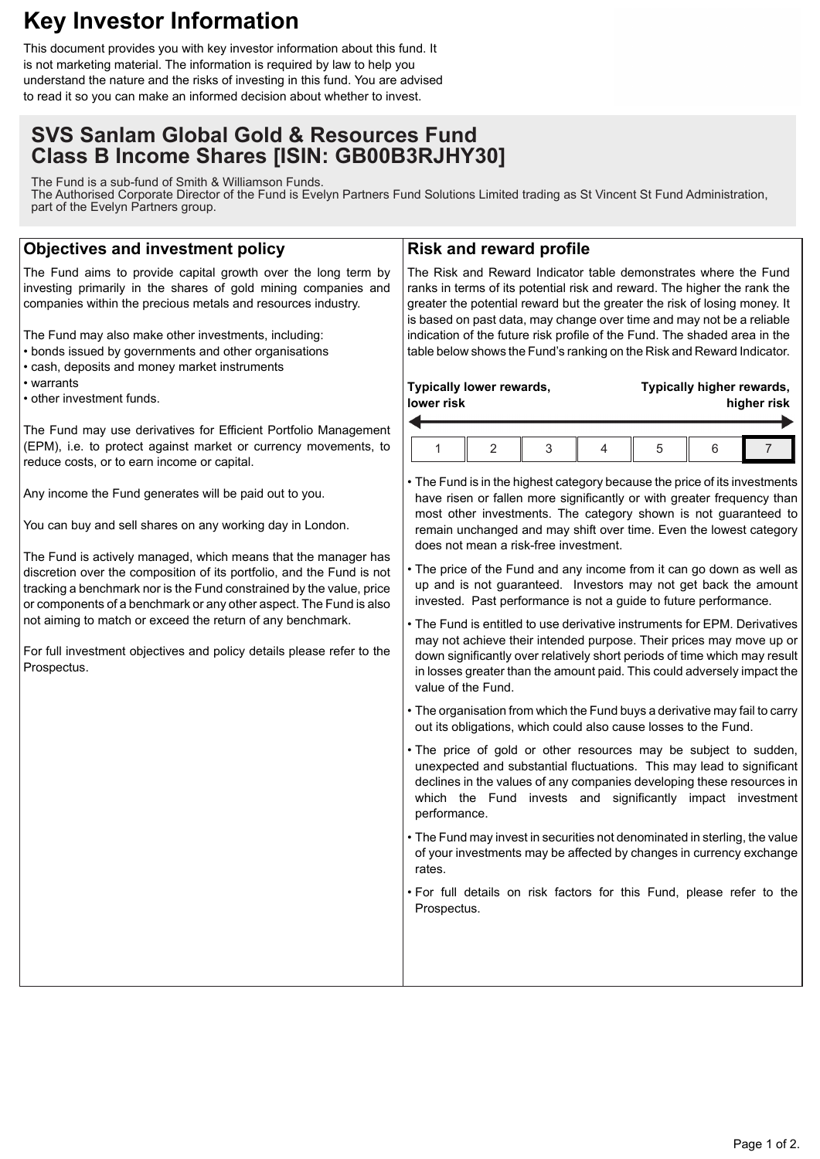# **Key Investor Information**

This document provides you with key investor information about this fund. It is not marketing material. The information is required by law to help you understand the nature and the risks of investing in this fund. You are advised to read it so you can make an informed decision about whether to invest.

# **SVS Sanlam Global Gold & Resources Fund Class B Income Shares [ISIN: GB00B3RJHY30]**

The Fund is a sub-fund of Smith & Williamson Funds. The Authorised Corporate Director of the Fund is Evelyn Partners Fund Solutions Limited trading as St Vincent St Fund Administration, part of the Evelyn Partners group.

## **Objectives and investment policy**

The Fund aims to provide capital growth over the long term by investing primarily in the shares of gold mining companies and companies within the precious metals and resources industry.

The Fund may also make other investments, including:

- bonds issued by governments and other organisations
- cash, deposits and money market instruments
- warrants
- other investment funds.

The Fund may use derivatives for Efficient Portfolio Management (EPM), i.e. to protect against market or currency movements, to reduce costs, or to earn income or capital.

Any income the Fund generates will be paid out to you.

You can buy and sell shares on any working day in London.

The Fund is actively managed, which means that the manager has discretion over the composition of its portfolio, and the Fund is not tracking a benchmark nor is the Fund constrained by the value, price or components of a benchmark or any other aspect. The Fund is also not aiming to match or exceed the return of any benchmark.

For full investment objectives and policy details please refer to the Prospectus.

### **Risk and reward profile**

The Risk and Reward Indicator table demonstrates where the Fund ranks in terms of its potential risk and reward. The higher the rank the greater the potential reward but the greater the risk of losing money. It is based on past data, may change over time and may not be a reliable indication of the future risk profile of the Fund. The shaded area in the table below shows the Fund's ranking on the Risk and Reward Indicator.

| Typically lower rewards, |  |  |  | Typically higher rewards, |  |  |
|--------------------------|--|--|--|---------------------------|--|--|
| lower risk               |  |  |  | higher risk               |  |  |
|                          |  |  |  |                           |  |  |

• The Fund is in the highest category because the price of its investments have risen or fallen more significantly or with greater frequency than most other investments. The category shown is not guaranteed to remain unchanged and may shift over time. Even the lowest category does not mean a risk-free investment.

• The price of the Fund and any income from it can go down as well as up and is not guaranteed. Investors may not get back the amount invested. Past performance is not a guide to future performance.

- The Fund is entitled to use derivative instruments for EPM. Derivatives may not achieve their intended purpose. Their prices may move up or down significantly over relatively short periods of time which may result in losses greater than the amount paid. This could adversely impact the value of the Fund.
- The organisation from which the Fund buys a derivative may fail to carry out its obligations, which could also cause losses to the Fund.
- The price of gold or other resources may be subject to sudden, unexpected and substantial fluctuations. This may lead to significant declines in the values of any companies developing these resources in which the Fund invests and significantly impact investment performance.
- The Fund may invest in securities not denominated in sterling, the value of your investments may be affected by changes in currency exchange rates.

• For full details on risk factors for this Fund, please refer to the Prospectus.